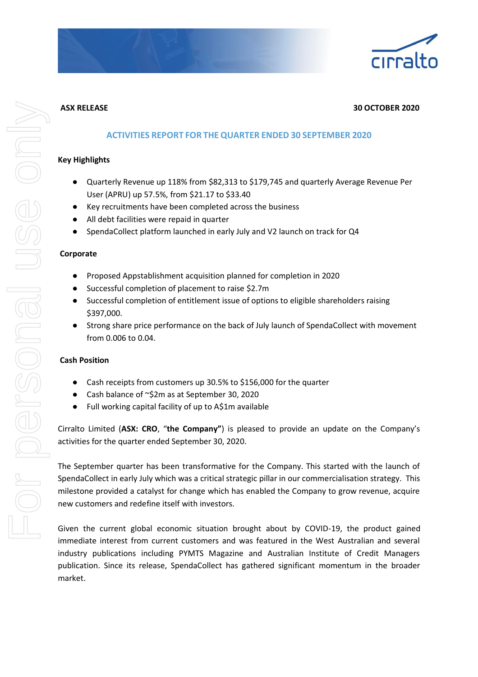

### **ASX RELEASE 30 OCTOBER 2020**

### **ACTIVITIES REPORT FOR THE QUARTER ENDED 30 SEPTEMBER 2020**

### **Key Highlights**

- Quarterly Revenue up 118% from \$82,313 to \$179,745 and quarterly Average Revenue Per User (APRU) up 57.5%, from \$21.17 to \$33.40
- Key recruitments have been completed across the business
- All debt facilities were repaid in quarter
- SpendaCollect platform launched in early July and V2 launch on track for Q4

### **Corporate**

- Proposed Appstablishment acquisition planned for completion in 2020
- Successful completion of placement to raise \$2.7m
- Successful completion of entitlement issue of options to eligible shareholders raising \$397,000.
- Strong share price performance on the back of July launch of SpendaCollect with movement from 0.006 to 0.04.

#### **Cash Position**

- Cash receipts from customers up 30.5% to \$156,000 for the quarter
- Cash balance of ~\$2m as at September 30, 2020
- Full working capital facility of up to A\$1m available

Cirralto Limited (**ASX: CRO**, "**the Company"**) is pleased to provide an update on the Company's activities for the quarter ended September 30, 2020.

The September quarter has been transformative for the Company. This started with the launch of SpendaCollect in early July which was a critical strategic pillar in our commercialisation strategy. This milestone provided a catalyst for change which has enabled the Company to grow revenue, acquire new customers and redefine itself with investors.

Given the current global economic situation brought about by COVID-19, the product gained immediate interest from current customers and was featured in the West Australian and several industry publications including PYMTS Magazine and Australian Institute of Credit Managers publication. Since its release, SpendaCollect has gathered significant momentum in the broader market.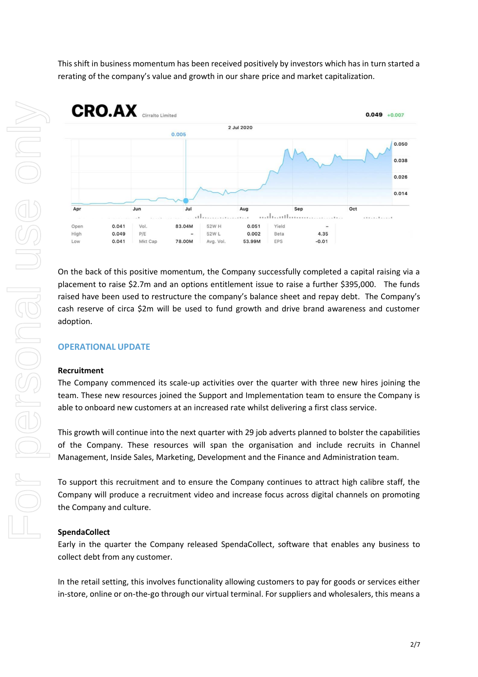For personal use only 

This shift in business momentum has been received positively by investors which has in turn started a rerating of the company's value and growth in our share price and market capitalization.



On the back of this positive momentum, the Company successfully completed a capital raising via a placement to raise \$2.7m and an options entitlement issue to raise a further \$395,000. The funds raised have been used to restructure the company's balance sheet and repay debt. The Company's cash reserve of circa \$2m will be used to fund growth and drive brand awareness and customer adoption.

# **OPERATIONAL UPDATE**

### **Recruitment**

The Company commenced its scale-up activities over the quarter with three new hires joining the team. These new resources joined the Support and Implementation team to ensure the Company is able to onboard new customers at an increased rate whilst delivering a first class service.

This growth will continue into the next quarter with 29 job adverts planned to bolster the capabilities of the Company. These resources will span the organisation and include recruits in Channel Management, Inside Sales, Marketing, Development and the Finance and Administration team.

To support this recruitment and to ensure the Company continues to attract high calibre staff, the Company will produce a recruitment video and increase focus across digital channels on promoting the Company and culture.

#### **SpendaCollect**

Early in the quarter the Company released SpendaCollect, software that enables any business to collect debt from any customer.

In the retail setting, this involves functionality allowing customers to pay for goods or services either in-store, online or on-the-go through our virtual terminal. For suppliers and wholesalers, this means a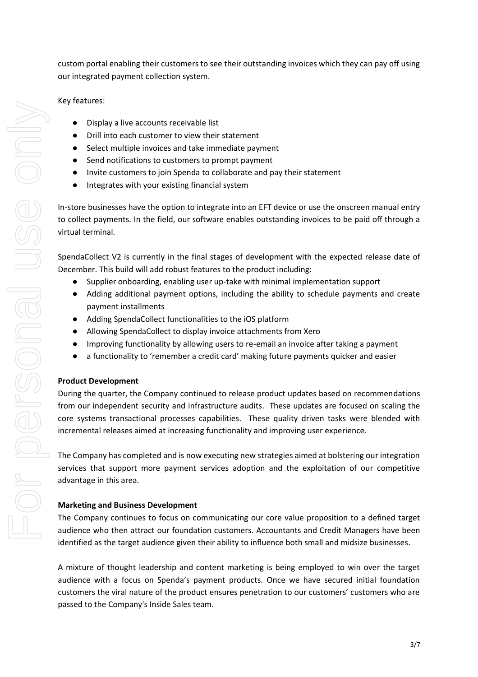custom portal enabling their customers to see their outstanding invoices which they can pay off using our integrated payment collection system.

Key features:

- Display a live accounts receivable list
- Drill into each customer to view their statement
- Select multiple invoices and take immediate payment
- Send notifications to customers to prompt payment
- Invite customers to join Spenda to collaborate and pay their statement
- Integrates with your existing financial system

In-store businesses have the option to integrate into an EFT device or use the onscreen manual entry to collect payments. In the field, our software enables outstanding invoices to be paid off through a virtual terminal.

SpendaCollect V2 is currently in the final stages of development with the expected release date of December. This build will add robust features to the product including:

- Supplier onboarding, enabling user up-take with minimal implementation support
- Adding additional payment options, including the ability to schedule payments and create payment installments
- Adding SpendaCollect functionalities to the iOS platform
- Allowing SpendaCollect to display invoice attachments from Xero
- Improving functionality by allowing users to re-email an invoice after taking a payment
- a functionality to 'remember a credit card' making future payments quicker and easier

# **Product Development**

During the quarter, the Company continued to release product updates based on recommendations from our independent security and infrastructure audits. These updates are focused on scaling the core systems transactional processes capabilities. These quality driven tasks were blended with incremental releases aimed at increasing functionality and improving user experience.

The Company has completed and is now executing new strategies aimed at bolstering our integration services that support more payment services adoption and the exploitation of our competitive advantage in this area.

# **Marketing and Business Development**

The Company continues to focus on communicating our core value proposition to a defined target audience who then attract our foundation customers. Accountants and Credit Managers have been identified as the target audience given their ability to influence both small and midsize businesses.

A mixture of thought leadership and content marketing is being employed to win over the target audience with a focus on Spenda's payment products. Once we have secured initial foundation customers the viral nature of the product ensures penetration to our customers' customers who are passed to the Company's Inside Sales team.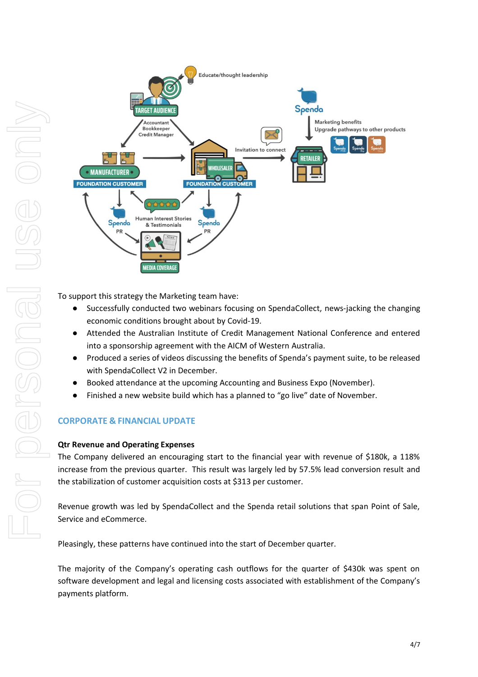

To support this strategy the Marketing team have:

- Successfully conducted two webinars focusing on SpendaCollect, news-jacking the changing economic conditions brought about by Covid-19.
- Attended the Australian Institute of Credit Management National Conference and entered into a sponsorship agreement with the AICM of Western Australia.
- Produced a series of videos discussing the benefits of Spenda's payment suite, to be released with SpendaCollect V2 in December.
- Booked attendance at the upcoming Accounting and Business Expo (November).
- Finished a new website build which has a planned to "go live" date of November.

# **CORPORATE & FINANCIAL UPDATE**

### **Qtr Revenue and Operating Expenses**

The Company delivered an encouraging start to the financial year with revenue of \$180k, a 118% increase from the previous quarter. This result was largely led by 57.5% lead conversion result and the stabilization of customer acquisition costs at \$313 per customer.

Revenue growth was led by SpendaCollect and the Spenda retail solutions that span Point of Sale, Service and eCommerce.

Pleasingly, these patterns have continued into the start of December quarter.

The majority of the Company's operating cash outflows for the quarter of \$430k was spent on software development and legal and licensing costs associated with establishment of the Company's payments platform.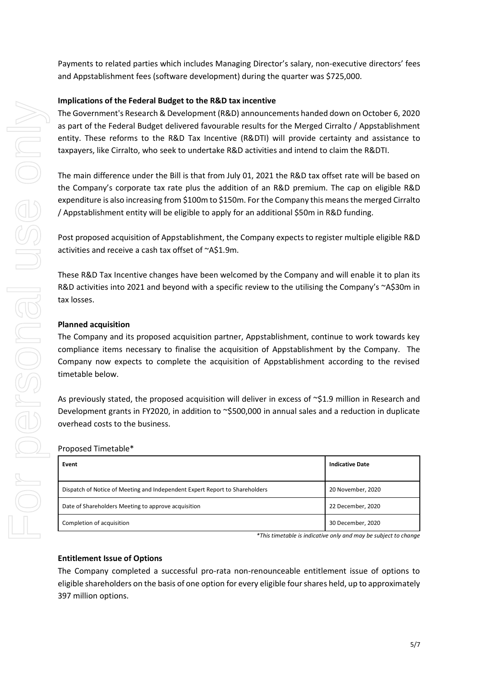Payments to related parties which includes Managing Director's salary, non-executive directors' fees and Appstablishment fees (software development) during the quarter was \$725,000.

# **Implications of the Federal Budget to the R&D tax incentive**

The Government's Research & Development (R&D) announcements handed down on October 6, 2020 as part of the Federal Budget delivered favourable results for the Merged Cirralto / Appstablishment entity. These reforms to the R&D Tax Incentive (R&DTI) will provide certainty and assistance to taxpayers, like Cirralto, who seek to undertake R&D activities and intend to claim the R&DTI.

The main difference under the Bill is that from July 01, 2021 the R&D tax offset rate will be based on the Company's corporate tax rate plus the addition of an R&D premium. The cap on eligible R&D expenditure is also increasing from \$100m to \$150m. For the Company this means the merged Cirralto / Appstablishment entity will be eligible to apply for an additional \$50m in R&D funding.

Post proposed acquisition of Appstablishment, the Company expects to register multiple eligible R&D activities and receive a cash tax offset of ~A\$1.9m.

These R&D Tax Incentive changes have been welcomed by the Company and will enable it to plan its R&D activities into 2021 and beyond with a specific review to the utilising the Company's ~A\$30m in tax losses.

# **Planned acquisition**

The Company and its proposed acquisition partner, Appstablishment, continue to work towards key compliance items necessary to finalise the acquisition of Appstablishment by the Company. The Company now expects to complete the acquisition of Appstablishment according to the revised timetable below.

As previously stated, the proposed acquisition will deliver in excess of ~\$1.9 million in Research and Development grants in FY2020, in addition to ~\$500,000 in annual sales and a reduction in duplicate overhead costs to the business.

| Event                                                                       | <b>Indicative Date</b> |
|-----------------------------------------------------------------------------|------------------------|
| Dispatch of Notice of Meeting and Independent Expert Report to Shareholders | 20 November, 2020      |
| Date of Shareholders Meeting to approve acquisition                         | 22 December, 2020      |
| Completion of acquisition                                                   | 30 December, 2020      |

*\*This timetable is indicative only and may be subject to change*

# **Entitlement Issue of Options**

The Company completed a successful pro-rata non-renounceable entitlement issue of options to eligible shareholders on the basis of one option for every eligible four shares held, up to approximately 397 million options.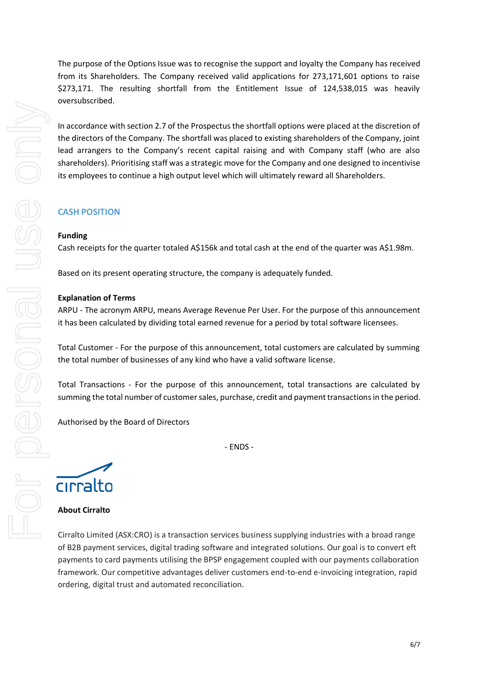The purpose of the Options Issue was to recognise the support and loyalty the Company has received from its Shareholders. The Company received valid applications for 273,171,601 options to raise \$273,171. The resulting shortfall from the Entitlement Issue of 124,538,015 was heavily oversubscribed.

In accordance with section 2.7 of the Prospectus the shortfall options were placed at the discretion of the directors of the Company. The shortfall was placed to existing shareholders of the Company, joint lead arrangers to the Company's recent capital raising and with Company staff (who are also shareholders). Prioritising staff was a strategic move for the Company and one designed to incentivise its employees to continue a high output level which will ultimately reward all Shareholders.

# **CASH POSITION**

### **Funding**

Cash receipts for the quarter totaled A\$156k and total cash at the end of the quarter was A\$1.98m.

Based on its present operating structure, the company is adequately funded.

### **Explanation of Terms**

ARPU - The acronym ARPU, means Average Revenue Per User. For the purpose of this announcement it has been calculated by dividing total earned revenue for a period by total software licensees.

Total Customer - For the purpose of this announcement, total customers are calculated by summing the total number of businesses of any kind who have a valid software license.

Total Transactions - For the purpose of this announcement, total transactions are calculated by summing the total number of customer sales, purchase, credit and payment transactions in the period.

- ENDS -

Authorised by the Board of Directors

cirralto

# **About Cirralto**

Cirralto Limited (ASX:CRO) is a transaction services business supplying industries with a broad range of B2B payment services, digital trading software and integrated solutions. Our goal is to convert eft payments to card payments utilising the BPSP engagement coupled with our payments collaboration framework. Our competitive advantages deliver customers end-to-end e-invoicing integration, rapid ordering, digital trust and automated reconciliation.